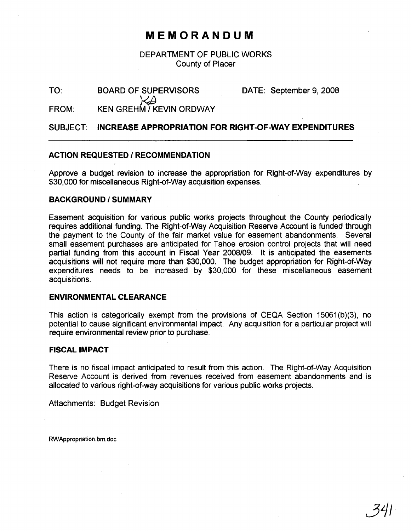# **MEMORANDUM**

# DEPARTMENT OF PUBLIC WORKS County of Placer

TO:

BOARD OF SUPERVISORS

DATE: September 9, 2008

FROM: KEN GREHM / KEVIN ORDWAY

SUBJECT: **INCREASE APPROPRIATION FOR RIGHT-OF-WAY EXPENDITURES**

## **ACTION REQUESTED / RECOMMENDATION**

Approve a budget revision to increase the appropriation tor Right-ot-Way expenditures by \$30,000 for miscellaneous Right-ot-Way acquisition expenses.

#### **BACKGROUND/SUMMARY**

Easement acquisition for various public works projects throughout the County periodically requires additional funding. The Right-ot-Way Acquisition Reserve Account is tunded through the payment to the County of the tair market value for easement abandonments. Several small easement purchases are anticipated tor Tahoe erosion control projects that will need partial funding trom this account in Fiscal Year 2008/09. It is anticipated the easements acquisitions will not require more than \$30,000. The budget appropriation tor Right-ot-Way  $expenditures$  needs to be increased by  $$30,000$  for these miscellaneous easement acquisitions.

#### **ENVIRONMENTAL CLEARANCE**

This action is categorically exempt from the provisions *ot* CEQA Section 15061 (b)(3), no potential to cause significant environmental impact. Any acquisition for a particular project will require environmental review prior to purchase.

## **FISCAL IMPACT**

There is no fiscal impact anticipated to result trom this action. The Right-of-Way Acquisition Reserve Account is derived from revenues received from easement abandonments and is allocated to various right-ot-way acquisitions tor various public works projects.

Attachments: Budget Revision

RWAppropriation. bm.doc

34/